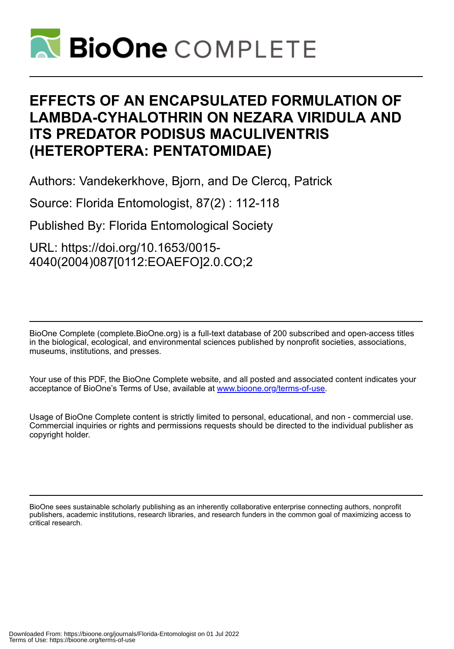

# **EFFECTS OF AN ENCAPSULATED FORMULATION OF LAMBDA-CYHALOTHRIN ON NEZARA VIRIDULA AND ITS PREDATOR PODISUS MACULIVENTRIS (HETEROPTERA: PENTATOMIDAE)**

Authors: Vandekerkhove, Bjorn, and De Clercq, Patrick

Source: Florida Entomologist, 87(2) : 112-118

Published By: Florida Entomological Society

URL: https://doi.org/10.1653/0015- 4040(2004)087[0112:EOAEFO]2.0.CO;2

BioOne Complete (complete.BioOne.org) is a full-text database of 200 subscribed and open-access titles in the biological, ecological, and environmental sciences published by nonprofit societies, associations, museums, institutions, and presses.

Your use of this PDF, the BioOne Complete website, and all posted and associated content indicates your acceptance of BioOne's Terms of Use, available at www.bioone.org/terms-of-use.

Usage of BioOne Complete content is strictly limited to personal, educational, and non - commercial use. Commercial inquiries or rights and permissions requests should be directed to the individual publisher as copyright holder.

BioOne sees sustainable scholarly publishing as an inherently collaborative enterprise connecting authors, nonprofit publishers, academic institutions, research libraries, and research funders in the common goal of maximizing access to critical research.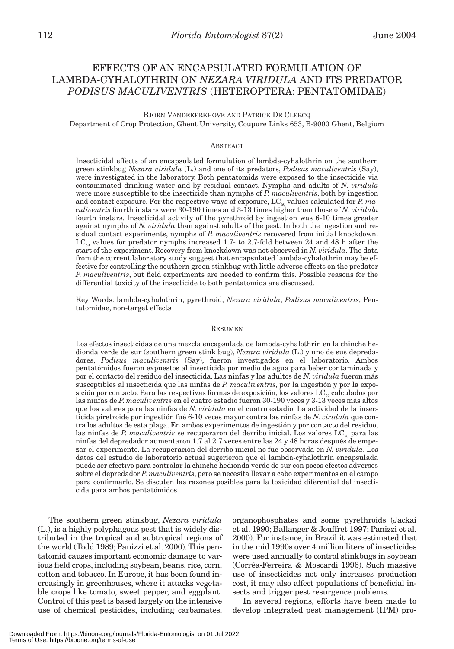## EFFECTS OF AN ENCAPSULATED FORMULATION OF LAMBDA-CYHALOTHRIN ON *NEZARA VIRIDULA* AND ITS PREDATOR *PODISUS MACULIVENTRIS* (HETEROPTERA: PENTATOMIDAE)

#### BJORN VANDEKERKHOVE AND PATRICK DE CLERCQ

Department of Crop Protection, Ghent University, Coupure Links 653, B-9000 Ghent, Belgium

#### ABSTRACT

Insecticidal effects of an encapsulated formulation of lambda-cyhalothrin on the southern green stinkbug *Nezara viridula* (L.) and one of its predators, *Podisus maculiventris* (Say), were investigated in the laboratory. Both pentatomids were exposed to the insecticide via contaminated drinking water and by residual contact. Nymphs and adults of *N. viridula* were more susceptible to the insecticide than nymphs of *P. maculiventris*, both by ingestion and contact exposure. For the respective ways of exposure, LC<sub>50</sub> values calculated for *P. maculiventris* fourth instars were 30-190 times and 3-13 times higher than those of *N. viridula* fourth instars. Insecticidal activity of the pyrethroid by ingestion was 6-10 times greater against nymphs of *N. viridula* than against adults of the pest. In both the ingestion and residual contact experiments, nymphs of *P. maculiventris* recovered from initial knockdown.  $LC_{50}$  values for predator nymphs increased 1.7- to 2.7-fold between 24 and 48 h after the start of the experiment. Recovery from knockdown was not observed in *N. viridula*. The data from the current laboratory study suggest that encapsulated lambda-cyhalothrin may be effective for controlling the southern green stinkbug with little adverse effects on the predator *P. maculiventris*, but field experiments are needed to confirm this. Possible reasons for the differential toxicity of the insecticide to both pentatomids are discussed.

Key Words: lambda-cyhalothrin, pyrethroid, *Nezara viridula*, *Podisus maculiventris*, Pentatomidae, non-target effects

#### RESUMEN

Los efectos insecticidas de una mezcla encapsulada de lambda-cyhalothrin en la chinche hedionda verde de sur (southern green stink bug), *Nezara viridula* (L.) y uno de sus depredadores, *Podisus maculiventris* (Say), fueron investigados en el laboratorio. Ambos pentatómidos fueron expuestos al insecticida por medio de agua para beber contaminada y por el contacto del residuo del insecticida. Las ninfas y los adultos de *N. viridula* fueron más susceptibles al insecticida que las ninfas de *P. maculiventris*, por la ingestión y por la exposición por contacto. Para las respectivas formas de exposición, los valores  $LC_{50}$  calculados por las ninfas de *P. maculiventris* en el cuatro estadio fueron 30-190 veces y 3-13 veces más altos que los valores para las ninfas de *N. viridula* en el cuatro estadio. La actividad de la insecticida piretroide por ingestión fué 6-10 veces mayor contra las ninfas de *N. viridula* que contra los adultos de esta plaga. En ambos experimentos de ingestión y por contacto del residuo, las ninfas de *P. maculiventris* se recuperaron del derribo inicial. Los valores LC<sub>50</sub> para las ninfas del depredador aumentaron 1.7 al 2.7 veces entre las 24 y 48 horas después de empezar el experimento. La recuperación del derribo inicial no fue observada en *N. viridula*. Los datos del estudio de laboratorio actual sugerieron que el lambda-cyhalothrin encapsulada puede ser efectivo para controlar la chinche hedionda verde de sur con pocos efectos adversos sobre el depredador *P. maculiventris*, pero se necesita llevar a cabo experimentos en el campo para confirmarlo. Se discuten las razones posibles para la toxicidad diferential del insecticida para ambos pentatómidos.

The southern green stinkbug, *Nezara viridula* (L.), is a highly polyphagous pest that is widely distributed in the tropical and subtropical regions of the world (Todd 1989; Panizzi et al. 2000). This pentatomid causes important economic damage to various field crops, including soybean, beans, rice, corn, cotton and tobacco. In Europe, it has been found increasingly in greenhouses, where it attacks vegetable crops like tomato, sweet pepper, and eggplant. Control of this pest is based largely on the intensive use of chemical pesticides, including carbamates,

organophosphates and some pyrethroids (Jackai et al. 1990; Ballanger & Jouffret 1997; Panizzi et al. 2000). For instance, in Brazil it was estimated that in the mid 1990s over 4 million liters of insecticides were used annually to control stinkbugs in soybean (Corrêa-Ferreira & Moscardi 1996). Such massive use of insecticides not only increases production cost, it may also affect populations of beneficial insects and trigger pest resurgence problems.

In several regions, efforts have been made to develop integrated pest management (IPM) pro-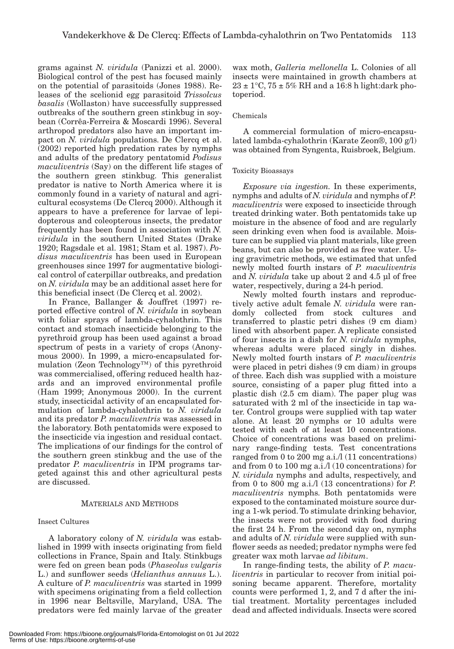grams against *N. viridula* (Panizzi et al. 2000). Biological control of the pest has focused mainly on the potential of parasitoids (Jones 1988). Releases of the scelionid egg parasitoid *Trissolcus basalis* (Wollaston) have successfully suppressed outbreaks of the southern green stinkbug in soybean (Corrêa-Ferreira & Moscardi 1996). Several arthropod predators also have an important impact on *N. viridula* populations. De Clercq et al. (2002) reported high predation rates by nymphs and adults of the predatory pentatomid *Podisus maculiventris* (Say) on the different life stages of the southern green stinkbug. This generalist predator is native to North America where it is commonly found in a variety of natural and agricultural ecosystems (De Clercq 2000). Although it appears to have a preference for larvae of lepidopterous and coleopterous insects, the predator frequently has been found in association with *N. viridula* in the southern United States (Drake 1920; Ragsdale et al. 1981; Stam et al. 1987). *Podisus maculiventris* has been used in European greenhouses since 1997 for augmentative biological control of caterpillar outbreaks, and predation on *N. viridula* may be an additional asset here for this beneficial insect (De Clercq et al. 2002).

In France, Ballanger & Jouffret (1997) reported effective control of *N. viridula* in soybean with foliar sprays of lambda-cyhalothrin. This contact and stomach insecticide belonging to the pyrethroid group has been used against a broad spectrum of pests in a variety of crops (Anonymous 2000). In 1999, a micro-encapsulated formulation (Zeon Technology™) of this pyrethroid was commercialised, offering reduced health hazards and an improved environmental profile (Ham 1999; Anonymous 2000). In the current study, insecticidal activity of an encapsulated formulation of lambda-cyhalothrin to *N. viridula* and its predator *P. maculiventris* was assessed in the laboratory. Both pentatomids were exposed to the insecticide via ingestion and residual contact. The implications of our findings for the control of the southern green stinkbug and the use of the predator *P. maculiventris* in IPM programs targeted against this and other agricultural pests are discussed.

## MATERIALS AND METHODS

## Insect Cultures

A laboratory colony of *N. viridula* was established in 1999 with insects originating from field collections in France, Spain and Italy. Stinkbugs were fed on green bean pods (*Phaseolus vulgaris* L.) and sunflower seeds (*Helianthus annuus* L.). A culture of *P. maculiventris* was started in 1999 with specimens originating from a field collection in 1996 near Beltsville, Maryland, USA. The predators were fed mainly larvae of the greater

wax moth, *Galleria mellonella* L. Colonies of all insects were maintained in growth chambers at  $23 \pm 1$ °C,  $75 \pm 5\%$  RH and a 16:8 h light:dark photoperiod.

## Chemicals

A commercial formulation of micro-encapsulated lambda-cyhalothrin (Karate Zeon®, 100 g/l) was obtained from Syngenta, Ruisbroek, Belgium.

## Toxicity Bioassays

*Exposure via ingestion.* In these experiments, nymphs and adults of *N. viridula* and nymphs of *P. maculiventris* were exposed to insecticide through treated drinking water. Both pentatomids take up moisture in the absence of food and are regularly seen drinking even when food is available. Moisture can be supplied via plant materials, like green beans, but can also be provided as free water. Using gravimetric methods, we estimated that unfed newly molted fourth instars of *P. maculiventris* and *N. viridula* take up about 2 and 4.5 µl of free water, respectively, during a 24-h period.

Newly molted fourth instars and reproductively active adult female *N. viridula* were randomly collected from stock cultures and transferred to plastic petri dishes (9 cm diam) lined with absorbent paper. A replicate consisted of four insects in a dish for *N. viridula* nymphs, whereas adults were placed singly in dishes. Newly molted fourth instars of *P. maculiventris* were placed in petri dishes (9 cm diam) in groups of three. Each dish was supplied with a moisture source, consisting of a paper plug fitted into a plastic dish (2.5 cm diam). The paper plug was saturated with 2 ml of the insecticide in tap water. Control groups were supplied with tap water alone. At least 20 nymphs or 10 adults were tested with each of at least 10 concentrations. Choice of concentrations was based on preliminary range-finding tests. Test concentrations ranged from 0 to 200 mg a.i./l (11 concentrations) and from 0 to 100 mg a.i./l (10 concentrations) for *N. viridula* nymphs and adults, respectively, and from 0 to 800 mg a.i./l (13 concentrations) for *P. maculiventris* nymphs. Both pentatomids were exposed to the contaminated moisture source during a 1-wk period. To stimulate drinking behavior, the insects were not provided with food during the first 24 h. From the second day on, nymphs and adults of *N. viridula* were supplied with sunflower seeds as needed; predator nymphs were fed greater wax moth larvae *ad libitum*.

In range-finding tests, the ability of *P. maculiventris* in particular to recover from initial poisoning became apparent. Therefore, mortality counts were performed 1, 2, and 7 d after the initial treatment. Mortality percentages included dead and affected individuals. Insects were scored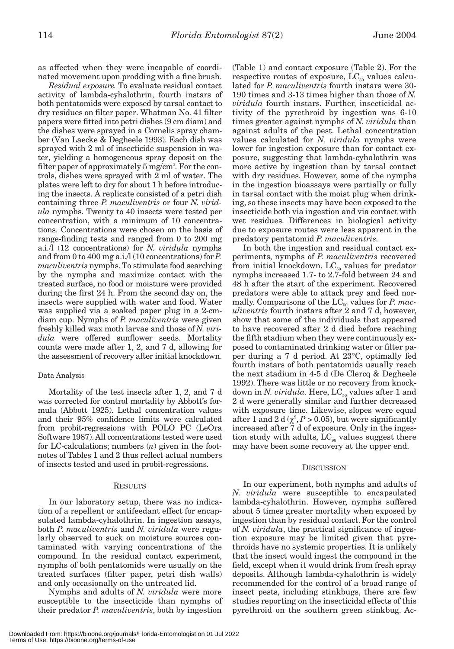as affected when they were incapable of coordinated movement upon prodding with a fine brush.

*Residual exposure.* To evaluate residual contact activity of lambda-cyhalothrin, fourth instars of both pentatomids were exposed by tarsal contact to dry residues on filter paper. Whatman No. 41 filter papers were fitted into petri dishes (9 cm diam) and the dishes were sprayed in a Cornelis spray chamber (Van Laecke & Degheele 1993). Each dish was sprayed with 2 ml of insecticide suspension in water, yielding a homogeneous spray deposit on the filter paper of approximately 5 mg/cm<sup>2</sup>. For the controls, dishes were sprayed with 2 ml of water. The plates were left to dry for about 1 h before introducing the insects. A replicate consisted of a petri dish containing three *P. maculiventris* or four *N. viridula* nymphs. Twenty to 40 insects were tested per concentration, with a minimum of 10 concentrations. Concentrations were chosen on the basis of range-finding tests and ranged from 0 to 200 mg a.i./l (12 concentrations) for *N. viridula* nymphs and from 0 to 400 mg a.i./l (10 concentrations) for *P. maculiventris* nymphs. To stimulate food searching by the nymphs and maximize contact with the treated surface, no food or moisture were provided during the first 24 h. From the second day on, the insects were supplied with water and food. Water was supplied via a soaked paper plug in a 2-cmdiam cup. Nymphs of *P. maculiventris* were given freshly killed wax moth larvae and those of *N. viridula* were offered sunflower seeds. Mortality counts were made after 1, 2, and 7 d, allowing for the assessment of recovery after initial knockdown.

#### Data Analysis

Mortality of the test insects after 1, 2, and 7 d was corrected for control mortality by Abbott's formula (Abbott 1925). Lethal concentration values and their 95% confidence limits were calculated from probit-regressions with POLO PC (LeOra Software 1987). All concentrations tested were used for LC-calculations; numbers (*n*) given in the footnotes of Tables 1 and 2 thus reflect actual numbers of insects tested and used in probit-regressions.

#### RESULTS

In our laboratory setup, there was no indication of a repellent or antifeedant effect for encapsulated lambda-cyhalothrin. In ingestion assays, both *P. maculiventris* and *N. viridula* were regularly observed to suck on moisture sources contaminated with varying concentrations of the compound. In the residual contact experiment, nymphs of both pentatomids were usually on the treated surfaces (filter paper, petri dish walls) and only occasionally on the untreated lid.

Nymphs and adults of *N. viridula* were more susceptible to the insecticide than nymphs of their predator *P. maculiventris*, both by ingestion

(Table 1) and contact exposure (Table 2). For the respective routes of exposure,  $LC_{50}$  values calculated for *P. maculiventris* fourth instars were 30- 190 times and 3-13 times higher than those of *N. viridula* fourth instars. Further, insecticidal activity of the pyrethroid by ingestion was 6-10 times greater against nymphs of *N. viridula* than against adults of the pest. Lethal concentration values calculated for *N. viridula* nymphs were lower for ingestion exposure than for contact exposure, suggesting that lambda-cyhalothrin was more active by ingestion than by tarsal contact with dry residues. However, some of the nymphs in the ingestion bioassays were partially or fully in tarsal contact with the moist plug when drinking, so these insects may have been exposed to the insecticide both via ingestion and via contact with wet residues. Differences in biological activity due to exposure routes were less apparent in the predatory pentatomid *P. maculiventris*.

In both the ingestion and residual contact experiments, nymphs of *P. maculiventris* recovered from initial knockdown.  $LC_{50}$  values for predator nymphs increased 1.7- to 2.7-fold between 24 and 48 h after the start of the experiment. Recovered predators were able to attack prey and feed normally. Comparisons of the LC<sub>50</sub> values for *P. maculiventris* fourth instars after 2 and 7 d, however, show that some of the individuals that appeared to have recovered after 2 d died before reaching the fifth stadium when they were continuously exposed to contaminated drinking water or filter paper during a 7 d period. At 23°C, optimally fed fourth instars of both pentatomids usually reach the next stadium in 4-5 d (De Clercq & Degheele 1992). There was little or no recovery from knockdown in *N. viridula*. Here,  $LC_{50}$  values after 1 and 2 d were generally similar and further decreased with exposure time. Likewise, slopes were equal after 1 and 2 d  $(\chi^2, P > 0.05)$ , but were significantly increased after 7 d of exposure. Only in the ingestion study with adults,  $LC_{90}$  values suggest there may have been some recovery at the upper end.

#### **DISCUSSION**

In our experiment, both nymphs and adults of *N. viridula* were susceptible to encapsulated lambda-cyhalothrin. However, nymphs suffered about 5 times greater mortality when exposed by ingestion than by residual contact. For the control of *N. viridula*, the practical significance of ingestion exposure may be limited given that pyrethroids have no systemic properties. It is unlikely that the insect would ingest the compound in the field, except when it would drink from fresh spray deposits. Although lambda-cyhalothrin is widely recommended for the control of a broad range of insect pests, including stinkbugs, there are few studies reporting on the insecticidal effects of this pyrethroid on the southern green stinkbug. Ac-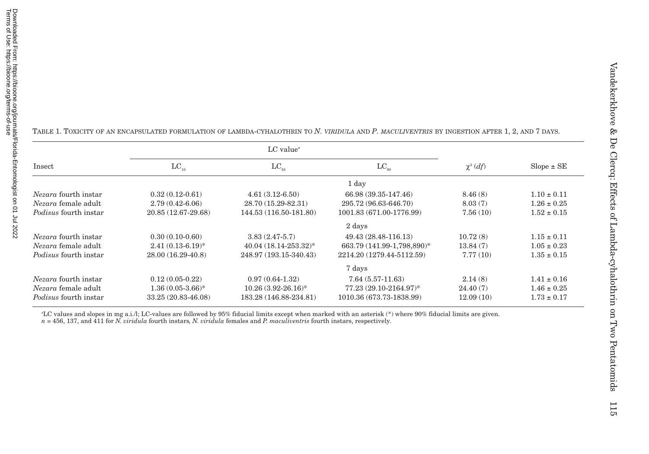|                              |                       | $LC$ value <sup><math>a</math></sup> |                            |              |                 |
|------------------------------|-----------------------|--------------------------------------|----------------------------|--------------|-----------------|
| Insect                       | $LC_{10}$             | $LC_{50}$                            | $LC_{\alpha}$              | $\chi^2(df)$ | $Slope \pm SE$  |
|                              |                       |                                      | 1 day                      |              |                 |
| <i>Nezara</i> fourth instar  | $0.32(0.12-0.61)$     | $4.61(3.12-6.50)$                    | 66.98 (39.35-147.46)       | 8.46(8)      | $1.10 \pm 0.11$ |
| <i>Nezara</i> female adult   | $2.79(0.42 - 6.06)$   | 28.70 (15.29-82.31)                  | 295.72 (96.63-646.70)      | 8.03(7)      | $1.26 \pm 0.25$ |
| <i>Podisus</i> fourth instar | 20.85 (12.67-29.68)   | 144.53 (116.50-181.80)               | 1001.83 (671.00-1776.99)   | 7.56(10)     | $1.52 \pm 0.15$ |
|                              |                       |                                      | 2 days                     |              |                 |
| <i>Nezara</i> fourth instar  | $0.30(0.10-0.60)$     | $3.83(2.47-5.7)$                     | 49.43 (28.48-116.13)       | 10.72(8)     | $1.15 \pm 0.11$ |
| <i>Nezara</i> female adult   | $2.41(0.13-6.19)^{*}$ | 40.04 (18.14-253.32)*                | 663.79 (141.99-1,798,890)* | 13.84(7)     | $1.05 \pm 0.23$ |
| <i>Podisus</i> fourth instar | 28.00 (16.29-40.8)    | 248.97 (193.15-340.43)               | 2214.20 (1279.44-5112.59)  | 7.77(10)     | $1.35 \pm 0.15$ |
|                              |                       |                                      | 7 days                     |              |                 |
| Nezara fourth instar         | $0.12(0.05-0.22)$     | $0.97(0.64-1.32)$                    | $7.64(5.57-11.63)$         | 2.14(8)      | $1.41 \pm 0.16$ |
| <i>Nezara</i> female adult   | $1.36(0.05-3.66)^*$   | $10.26(3.92-26.16)^*$                | 77.23 (29.10-2164.97)*     | 24.40(7)     | $1.46 \pm 0.25$ |
| <i>Podisus</i> fourth instar | 33.25 (20.83-46.08)   | 183.28 (146.88-234.81)               | 1010.36 (673.73-1838.99)   | 12.09(10)    | $1.73 \pm 0.17$ |

TABLE 1. TOXICITY OF AN ENCAPSULATED FORMULATION OF LAMBDA-CYHALOTHRIN TO *N. VIRIDULA* AND *P. MACULIVENTRIS* BY INGESTION AFTER 1, 2, AND 7 DAYS.

aLC values and slopes in mg a.i./l; LC-values are followed by 95% fiducial limits except when marked with an asterisk (\*) where 90% fiducial limits are given.

*<sup>n</sup>* = 456, 137, and 411 for *N. viridula* fourth instars*, N. viridula* females and *P. maculiventris* fourth instars, respectively.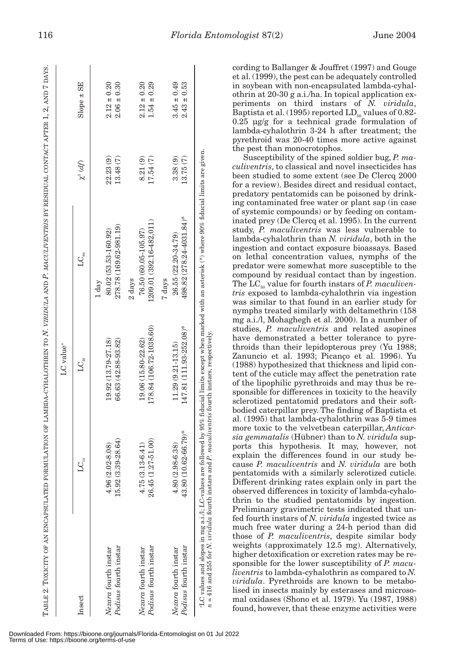|                                                                                                                                                                                                                                                                                                                                                                                                                                                                                                                                                                                                                                                                                                                                                                                                       | TABLE 2. TOXICITY OF AN ENCAPSULATED FORMULATION OF LAMBDA-CYHALOTHRIN TO N. VIRIDULA AND P. MACULIVENTRIS BY RESIDUAL CONTACT AFTER 1, 2, AND 7 DAYS                                                                                                                                                                                                                                                                                                                        | $LC$ value <sup>a</sup>                                                                                                                                                                                                                                                                                                                                                                                                                                                                                                                                                                                                                                                                               |                                                                                                                                                                                                                                                                                                                                                                                                                                                                                                                                                                                                                                                                                                                                                                    |                                                                                                                                                                                                                                                                                                                                                                                                                      |                                                                                                                                                                                                                                                                                                                                                                                                                                      |
|-------------------------------------------------------------------------------------------------------------------------------------------------------------------------------------------------------------------------------------------------------------------------------------------------------------------------------------------------------------------------------------------------------------------------------------------------------------------------------------------------------------------------------------------------------------------------------------------------------------------------------------------------------------------------------------------------------------------------------------------------------------------------------------------------------|------------------------------------------------------------------------------------------------------------------------------------------------------------------------------------------------------------------------------------------------------------------------------------------------------------------------------------------------------------------------------------------------------------------------------------------------------------------------------|-------------------------------------------------------------------------------------------------------------------------------------------------------------------------------------------------------------------------------------------------------------------------------------------------------------------------------------------------------------------------------------------------------------------------------------------------------------------------------------------------------------------------------------------------------------------------------------------------------------------------------------------------------------------------------------------------------|--------------------------------------------------------------------------------------------------------------------------------------------------------------------------------------------------------------------------------------------------------------------------------------------------------------------------------------------------------------------------------------------------------------------------------------------------------------------------------------------------------------------------------------------------------------------------------------------------------------------------------------------------------------------------------------------------------------------------------------------------------------------|----------------------------------------------------------------------------------------------------------------------------------------------------------------------------------------------------------------------------------------------------------------------------------------------------------------------------------------------------------------------------------------------------------------------|--------------------------------------------------------------------------------------------------------------------------------------------------------------------------------------------------------------------------------------------------------------------------------------------------------------------------------------------------------------------------------------------------------------------------------------|
| Insect                                                                                                                                                                                                                                                                                                                                                                                                                                                                                                                                                                                                                                                                                                                                                                                                | $\frac{10}{10}$<br>ゴ                                                                                                                                                                                                                                                                                                                                                                                                                                                         | $\rm{LC_{\scriptscriptstyle 50}}$                                                                                                                                                                                                                                                                                                                                                                                                                                                                                                                                                                                                                                                                     | $LC_{90}$                                                                                                                                                                                                                                                                                                                                                                                                                                                                                                                                                                                                                                                                                                                                                          | $\chi^2\left(d f\right)$                                                                                                                                                                                                                                                                                                                                                                                             | SE<br>$\pm$<br>Slope:                                                                                                                                                                                                                                                                                                                                                                                                                |
| Podisus fourth instar<br>Nezara fourth instar                                                                                                                                                                                                                                                                                                                                                                                                                                                                                                                                                                                                                                                                                                                                                         | 15.92 (3.39-28.64)<br>4.96 (2.02-8.08)                                                                                                                                                                                                                                                                                                                                                                                                                                       | 19.92 (13.79-27.18)<br>66.63 (42.88-93.82)                                                                                                                                                                                                                                                                                                                                                                                                                                                                                                                                                                                                                                                            | 278.78 (169.62-981.19)<br>80.02 (53.53-160.92)<br>1 day                                                                                                                                                                                                                                                                                                                                                                                                                                                                                                                                                                                                                                                                                                            | $22.23(9)$<br>13.48 $(7)$                                                                                                                                                                                                                                                                                                                                                                                            | $\pm$ 0.30<br>$\pm\,0.20$<br>$\frac{2.12}{2.06}$                                                                                                                                                                                                                                                                                                                                                                                     |
| Podisus fourth instar<br>Nezara fourth instar                                                                                                                                                                                                                                                                                                                                                                                                                                                                                                                                                                                                                                                                                                                                                         | $\begin{array}{c} 4.75 \ (3.13\hbox{-}6.41) \\ 26.45 \ (1.27\hbox{-}51.00) \end{array}$                                                                                                                                                                                                                                                                                                                                                                                      | 178.84 (106.72-1038.60)<br>19.06 (15.80-22.62)                                                                                                                                                                                                                                                                                                                                                                                                                                                                                                                                                                                                                                                        | 1209.01 (392.16-482.011)<br>76.50 (60.05-105.97)<br>2 days                                                                                                                                                                                                                                                                                                                                                                                                                                                                                                                                                                                                                                                                                                         | $\begin{array}{c} 8.21 \; (9) \\ 17.54 \; (7) \end{array}$                                                                                                                                                                                                                                                                                                                                                           | $\pm 0.20$<br>$\pm 0.29$<br>2.12<br>1.54                                                                                                                                                                                                                                                                                                                                                                                             |
| Podisus fourth instar<br>Nezara fourth instar                                                                                                                                                                                                                                                                                                                                                                                                                                                                                                                                                                                                                                                                                                                                                         | 62-66.79)*<br>$8 - 6.38$<br>$4.80(2.98)$<br>$43.80(10.6)$                                                                                                                                                                                                                                                                                                                                                                                                                    | 147.81 (111.93-252.08)*<br>$11.29(9.21-13.15)$                                                                                                                                                                                                                                                                                                                                                                                                                                                                                                                                                                                                                                                        | 498.82 (278.24-4031.84)*<br>26.55 (22.20-34.79)<br>7 days                                                                                                                                                                                                                                                                                                                                                                                                                                                                                                                                                                                                                                                                                                          | $3.38(9)$<br>13.75 $(7)$                                                                                                                                                                                                                                                                                                                                                                                             | $\pm 0.49$<br>$\pm$ 0.53<br>$3.45$ :<br>$2.43$ :                                                                                                                                                                                                                                                                                                                                                                                     |
| = 416 and 255 for $N$ . <i>viridula</i> fourth instars and<br>LC values and slopes in mg a.i./l; LC-values are<br>Preliminary gravimetric tests indicated that un-<br>fed fourth instars of N. viridula ingested twice as<br>much free water during a 24-h period than did<br>those of P. maculiventris, despite similar body<br>weights (approximately 12.5 mg). Alternatively,<br>higher detoxification or excretion rates may be re-<br>sponsible for the lower susceptibility of P. macu-<br><i>liventris</i> to lambda-cyhalothrin as compared to N.<br>viridula. Pyrethroids are known to be metabo-<br>lised in insects mainly by esterases and microso-<br>mal oxidases (Shono et al. 1979). Yu (1987, 1988)<br>$\overline{\phantom{a}}$<br>found, however, that these enzyme activities were | more toxic to the velvetbean caterpillar, Anticar-<br>sia gemmatalis (Hübner) than to N. viridula sup-<br>ports this hypothesis. It may, however, not<br>explain the differences found in our study be-<br>cause P. maculiventris and N. viridula are both<br>pentatomids with a similarly sclerotized cuticle.<br>Different drinking rates explain only in part the<br>observed differences in toxicity of lambda-cyhalo-<br>thrin to the studied pentatomids by ingestion. | mg a.i./l, Mohaghegh et al. 2000). In a number of<br>studies, P. maculiventris and related asopines<br>1 P. maculiventris fourth instars, respectively,<br>have demonstrated a better tolerance to pyre-<br>throids than their lepidopterous prey (Yu 1988;<br>Zanuncio et al. 1993; Picanço et al. 1996). Yu<br>(1988) hypothesized that thickness and lipid con-<br>tent of the cuticle may affect the penetration rate<br>of the lipophilic pyrethroids and may thus be re-<br>sponsible for differences in toxicity to the heavily<br>sclerotized pentatomid predators and their soft-<br>bodied caterpillar prey. The finding of Baptista et<br>al. (1995) that lambda-cyhalothrin was 5-9 times | followed by 95% fiducial limits except when marked with an asterisk (*) where 90% fiducial limits are given<br>of systemic compounds) or by feeding on contam-<br>inated prey (De Clercq et al. 1995). In the current<br>study, P. maculiventris was less vulnerable to<br>lambda-cyhalothrin than N. viridula, both in the<br>ingestion and contact exposure bioassays. Based<br>on lethal concentration values, nymphs of the<br>predator were somewhat more susceptible to the<br>compound by residual contact than by ingestion.<br>The $LC_{50}$ value for fourth instars of P. maculiven-<br><i>tris</i> exposed to lambda-cyhalothrin via ingestion<br>was similar to that found in an earlier study for<br>nymphs treated similarly with deltamethrin (158 | pyrethroid was 20-40 times more active against<br>the pest than monocrotophos.<br>Susceptibility of the spined soldier bug, P. ma-<br><i>culiventris</i> , to classical and novel insecticides has<br>been studied to some extent (see De Clercq 2000<br>for a review). Besides direct and residual contact,<br>predatory pentatomids can be poisoned by drink-<br>ing contaminated free water or plant sap (in case | cording to Ballanger & Jouffret (1997) and Gouge<br>et al. (1999), the pest can be adequately controlled<br>in soybean with non-encapsulated lambda-cyhal-<br>othrin at 20-30 g a.i./ha. In topical application ex-<br>periments on third instars of N. viridula,<br>Baptista et al. (1995) reported $LD_{50}$ values of 0.82-<br>$0.25$ µg/g for a technical grade formulation of<br>lambda-cyhalothrin 3-24 h after treatment; the |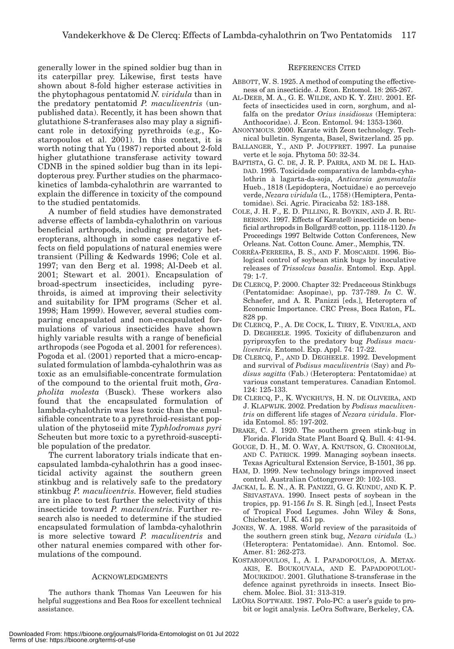generally lower in the spined soldier bug than in its caterpillar prey. Likewise, first tests have shown about 8-fold higher esterase activities in the phytophagous pentatomid *N. viridula* than in the predatory pentatomid *P. maculiventris* (unpublished data). Recently, it has been shown that glutathione S-tranferases also may play a significant role in detoxifying pyrethroids (e.g., Kostaropoulos et al. 2001). In this context, it is worth noting that Yu (1987) reported about 2-fold higher glutathione transferase activity toward CDNB in the spined soldier bug than in its lepidopterous prey. Further studies on the pharmacokinetics of lambda-cyhalothrin are warranted to explain the difference in toxicity of the compound to the studied pentatomids.

A number of field studies have demonstrated adverse effects of lambda-cyhalothrin on various beneficial arthropods, including predatory heteropterans, although in some cases negative effects on field populations of natural enemies were transient (Pilling & Kedwards 1996; Cole et al. 1997; van den Berg et al. 1998; Al-Deeb et al. 2001; Stewart et al. 2001). Encapsulation of broad-spectrum insecticides, including pyrethroids, is aimed at improving their selectivity and suitability for IPM programs (Scher et al. 1998; Ham 1999). However, several studies comparing encapsulated and non-encapsulated formulations of various insecticides have shown highly variable results with a range of beneficial arthropods (see Pogoda et al. 2001 for references). Pogoda et al. (2001) reported that a micro-encapsulated formulation of lambda-cyhalothrin was as toxic as an emulsifiable-concentrate formulation of the compound to the oriental fruit moth, *Grapholita molesta* (Busck). These workers also found that the encapsulated formulation of lambda-cyhalothrin was less toxic than the emulsifiable concentrate to a pyrethroid-resistant population of the phytoseiid mite *Typhlodromus pyri* Scheuten but more toxic to a pyrethroid-susceptible population of the predator.

The current laboratory trials indicate that encapsulated lambda-cyhalothrin has a good insecticidal activity against the southern green stinkbug and is relatively safe to the predatory stinkbug *P. maculiventris*. However, field studies are in place to test further the selectivity of this insecticide toward *P. maculiventris*. Further research also is needed to determine if the studied encapsulated formulation of lambda-cyhalothrin is more selective toward *P. maculiventris* and other natural enemies compared with other formulations of the compound.

## ACKNOWLEDGMENTS

The authors thank Thomas Van Leeuwen for his helpful suggestions and Bea Roos for excellent technical assistance.

## REFERENCES CITED

- ABBOTT, W. S. 1925. A method of computing the effectiveness of an insecticide. J. Econ. Entomol. 18: 265-267.
- AL-DEEB, M. A., G. E. WILDE, AND K. Y. ZHU. 2001. Effects of insecticides used in corn, sorghum, and alfalfa on the predator *Orius insidiosus* (Hemiptera: Anthocoridae). J. Econ. Entomol. 94: 1353-1360.
- ANONYMOUS. 2000. Karate with Zeon technology. Technical bulletin. Syngenta, Basel, Switzerland. 25 pp.
- BALLANGER, Y., AND P. JOUFFRET. 1997. La punaise verte et le soja. Phytoma 50: 32-34.
- BAPTISTA, G. C. DE, J. R. P. PARRA, AND M. DE L. HAD-DAD. 1995. Toxicidade comparativa de lambda-cyhalothrin à lagarta-da-soja, *Anticarsia gemmatalis* Hueb., 1818 (Lepidoptera, Noctuidae) e ao percevejo verde, *Nezara viridula* (L., 1758) (Hemiptera, Pentatomidae). Sci. Agric. Piracicaba 52: 183-188.
- COLE, J. H. F., E. D. PILLING, R. BOYKIN, AND J. R. RU-BERSON. 1997. Effects of Karate® insecticide on beneficial arthropods in Bollgard® cotton, pp. 1118-1120. *In* Proceedings 1997 Beltwide Cotton Conferences, New Orleans. Nat. Cotton Counc. Amer., Memphis, TN.
- CORRÊA-FERREIRA, B. S., AND F. MOSCARDI. 1996. Biological control of soybean stink bugs by inoculative releases of *Trissolcus basalis*. Entomol. Exp. Appl. 79: 1-7.
- DE CLERCQ, P. 2000. Chapter 32: Predaceous Stinkbugs (Pentatomidae: Asopinae), pp. 737-789. *In* C. W. Schaefer, and A. R. Panizzi [eds.], Heteroptera of Economic Importance. CRC Press, Boca Raton, FL. 828 pp.
- DE CLERCQ, P., A. DE COCK, L. TIRRY, E. VINUELA, AND D. DEGHEELE. 1995. Toxicity of diflubenzuron and pyriproxyfen to the predatory bug *Podisus maculiventris*. Entomol. Exp. Appl. 74: 17-22.
- DE CLERCQ, P., AND D. DEGHEELE. 1992. Development and survival of *Podisus maculiventris* (Say) and *Podisus sagitta* (Fab.) (Heteroptera: Pentatomidae) at various constant temperatures. Canadian Entomol. 124: 125-133.
- DE CLERCQ, P., K. WYCKHUYS, H. N. DE OLIVEIRA, AND J. KLAPWIJK. 2002. Predation by *Podisus maculiventris* on different life stages of *Nezara viridula*. Florida Entomol. 85: 197-202.
- DRAKE, C. J. 1920. The southern green stink-bug in Florida. Florida State Plant Board Q. Bull. 4: 41-94.
- GOUGE, D. H., M. O. WAY, A. KNUTSON, G. CRONHOLM, AND C. PATRICK. 1999. Managing soybean insects. Texas Agricultural Extension Service, B-1501, 36 pp.
- HAM, D. 1999. New technology brings improved insect control. Australian Cottongrower 20: 102-103.
- JACKAI, L. E. N., A. R. PANIZZI, G. G. KUNDU, AND K. P. SRIVASTAVA. 1990. Insect pests of soybean in the tropics, pp. 91-156 *In* S. R. Singh [ed.], Insect Pests of Tropical Food Legumes. John Wiley & Sons, Chichester, U.K. 451 pp.
- JONES, W. A. 1988. World review of the parasitoids of the southern green stink bug, *Nezara viridula* (L.) (Heteroptera: Pentatomidae). Ann. Entomol. Soc. Amer. 81: 262-273.
- KOSTAROPOULOS, I., A. I. PAPADOPOULOS, A. METAX-AKIS, E. BOUKOUVALA, AND E. PAPADOPOULOU-MOURKIDOU. 2001. Gluthatione S-transferase in the defence against pyrethroids in insects. Insect Biochem. Molec. Biol. 31: 313-319.
- LEORA SOFTWARE. 1987. Polo-PC: a user's guide to probit or logit analysis. LeOra Software, Berkeley, CA.